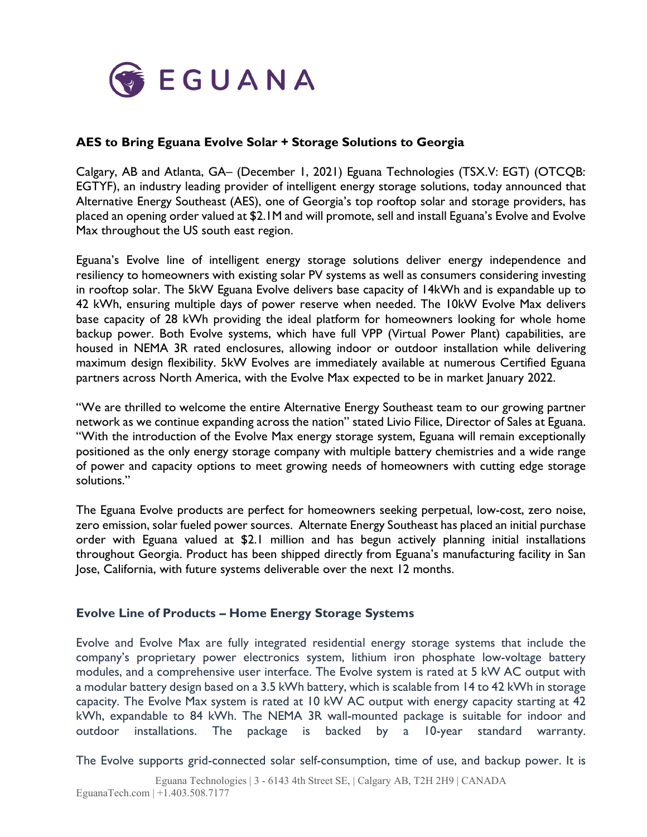

# **AES to Bring Eguana Evolve Solar + Storage Solutions to Georgia**

Calgary, AB and Atlanta, GA– (December 1, 2021) Eguana Technologies (TSX.V: EGT) (OTCQB: EGTYF), an industry leading provider of intelligent energy storage solutions, today announced that Alternative Energy Southeast (AES), one of Georgia's top rooftop solar and storage providers, has placed an opening order valued at \$2.1M and will promote, sell and install Eguana's Evolve and Evolve Max throughout the US south east region.

Eguana's Evolve line of intelligent energy storage solutions deliver energy independence and resiliency to homeowners with existing solar PV systems as well as consumers considering investing in rooftop solar. The 5kW Eguana Evolve delivers base capacity of 14kWh and is expandable up to 42 kWh, ensuring multiple days of power reserve when needed. The 10kW Evolve Max delivers base capacity of 28 kWh providing the ideal platform for homeowners looking for whole home backup power. Both Evolve systems, which have full VPP (Virtual Power Plant) capabilities, are housed in NEMA 3R rated enclosures, allowing indoor or outdoor installation while delivering maximum design flexibility. 5kW Evolves are immediately available at numerous Certified Eguana partners across North America, with the Evolve Max expected to be in market January 2022.

"We are thrilled to welcome the entire Alternative Energy Southeast team to our growing partner network as we continue expanding across the nation" stated Livio Filice, Director of Sales at Eguana. "With the introduction of the Evolve Max energy storage system, Eguana will remain exceptionally positioned as the only energy storage company with multiple battery chemistries and a wide range of power and capacity options to meet growing needs of homeowners with cutting edge storage solutions."

The Eguana Evolve products are perfect for homeowners seeking perpetual, low-cost, zero noise, zero emission, solar fueled power sources. Alternate Energy Southeast has placed an initial purchase order with Eguana valued at \$2.1 million and has begun actively planning initial installations throughout Georgia. Product has been shipped directly from Eguana's manufacturing facility in San Jose, California, with future systems deliverable over the next 12 months.

## **Evolve Line of Products – Home Energy Storage Systems**

Evolve and Evolve Max are fully integrated residential energy storage systems that include the company's proprietary power electronics system, lithium iron phosphate low-voltage battery modules, and a comprehensive user interface. The Evolve system is rated at 5 kW AC output with a modular battery design based on a 3.5 kWh battery, which is scalable from 14 to 42 kWh in storage capacity. The Evolve Max system is rated at 10 kW AC output with energy capacity starting at 42 kWh, expandable to 84 kWh. The NEMA 3R wall-mounted package is suitable for indoor and outdoor installations. The package is backed by a 10-year standard warranty.

The Evolve supports grid-connected solar self-consumption, time of use, and backup power. It is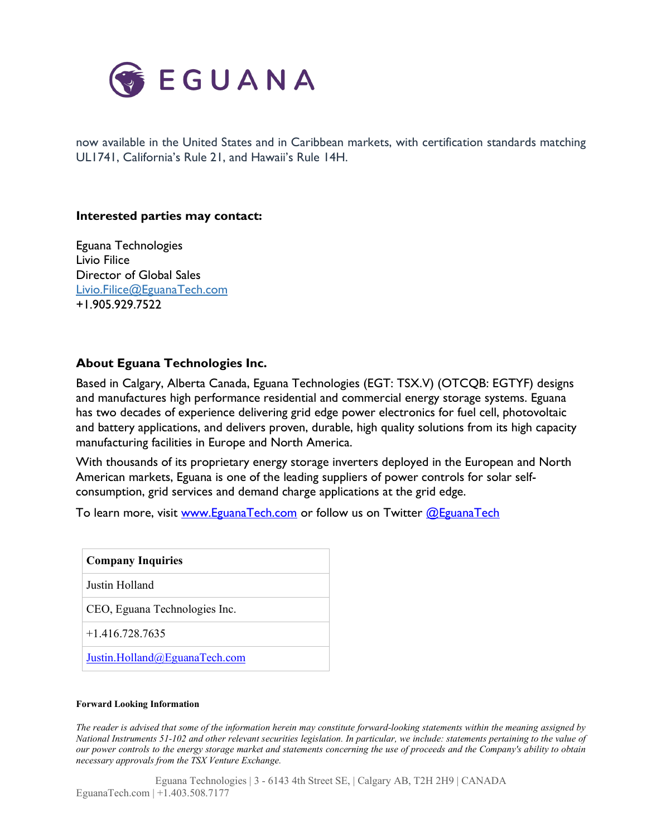

now available in the United States and in Caribbean markets, with certification standards matching UL1741, California's Rule 21, and Hawaii's Rule 14H.

### **Interested parties may contact:**

Eguana Technologies Livio Filice Director of Global Sales [Livio.Filice@EguanaTech.com](mailto:Livio.Filice@EguanaTech.com) +1.905.929.7522

## **About Eguana Technologies Inc.**

Based in Calgary, Alberta Canada, Eguana Technologies (EGT: TSX.V) (OTCQB: EGTYF) designs and manufactures high performance residential and commercial energy storage systems. Eguana has two decades of experience delivering grid edge power electronics for fuel cell, photovoltaic and battery applications, and delivers proven, durable, high quality solutions from its high capacity manufacturing facilities in Europe and North America.

With thousands of its proprietary energy storage inverters deployed in the European and North American markets, Eguana is one of the leading suppliers of power controls for solar selfconsumption, grid services and demand charge applications at the grid edge.

To learn more, visit [www.EguanaTech.com](http://www.eguanatech.com/) or follow us on Twitter @EguanaTech

| <b>Company Inquiries</b>      |
|-------------------------------|
| Justin Holland                |
| CEO, Eguana Technologies Inc. |
| $+1.416.728.7635$             |
| Justin.Holland@EguanaTech.com |

#### **Forward Looking Information**

The reader is advised that some of the information herein may constitute forward-looking statements within the meaning assigned by National Instruments 51-102 and other relevant securities legislation. In particular, we include: statements pertaining to the value of our power controls to the energy storage market and statements concerning the use of proceeds and the Company's ability to obtain *necessary approvals from the TSX Venture Exchange.*

Eguana Technologies | 3 - 6143 4th Street SE, | Calgary AB, T2H 2H9 | CANADA EguanaTech.com | +1.403.508.7177